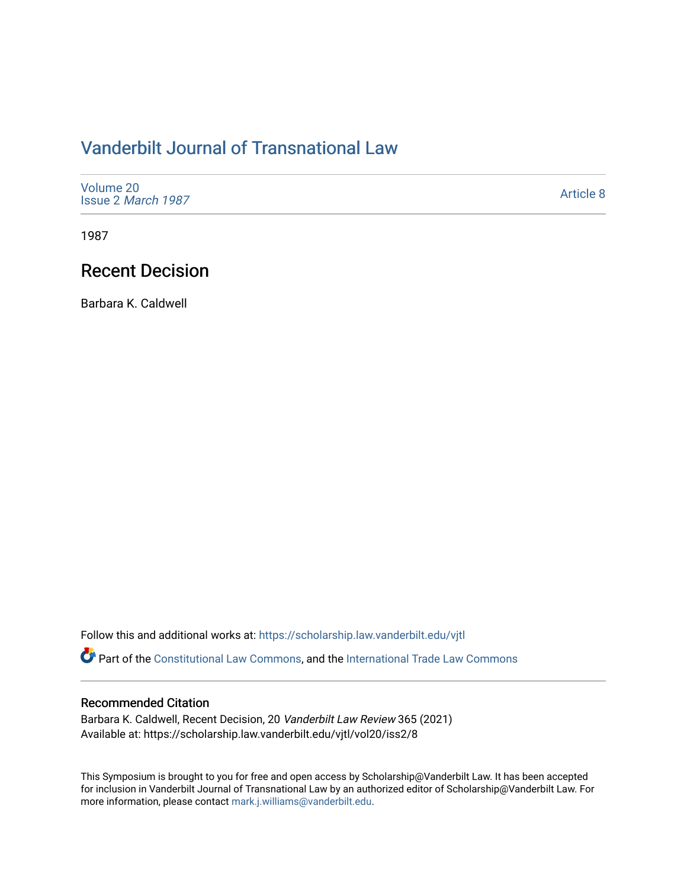# [Vanderbilt Journal of Transnational Law](https://scholarship.law.vanderbilt.edu/vjtl)

| Volume 20<br>Issue 2 March 1987 | Article 8 |
|---------------------------------|-----------|
|---------------------------------|-----------|

1987

## Recent Decision

Barbara K. Caldwell

Follow this and additional works at: [https://scholarship.law.vanderbilt.edu/vjtl](https://scholarship.law.vanderbilt.edu/vjtl?utm_source=scholarship.law.vanderbilt.edu%2Fvjtl%2Fvol20%2Fiss2%2F8&utm_medium=PDF&utm_campaign=PDFCoverPages) 

Part of the [Constitutional Law Commons,](http://network.bepress.com/hgg/discipline/589?utm_source=scholarship.law.vanderbilt.edu%2Fvjtl%2Fvol20%2Fiss2%2F8&utm_medium=PDF&utm_campaign=PDFCoverPages) and the [International Trade Law Commons](http://network.bepress.com/hgg/discipline/848?utm_source=scholarship.law.vanderbilt.edu%2Fvjtl%2Fvol20%2Fiss2%2F8&utm_medium=PDF&utm_campaign=PDFCoverPages) 

### Recommended Citation

Barbara K. Caldwell, Recent Decision, 20 Vanderbilt Law Review 365 (2021) Available at: https://scholarship.law.vanderbilt.edu/vjtl/vol20/iss2/8

This Symposium is brought to you for free and open access by Scholarship@Vanderbilt Law. It has been accepted for inclusion in Vanderbilt Journal of Transnational Law by an authorized editor of Scholarship@Vanderbilt Law. For more information, please contact [mark.j.williams@vanderbilt.edu](mailto:mark.j.williams@vanderbilt.edu).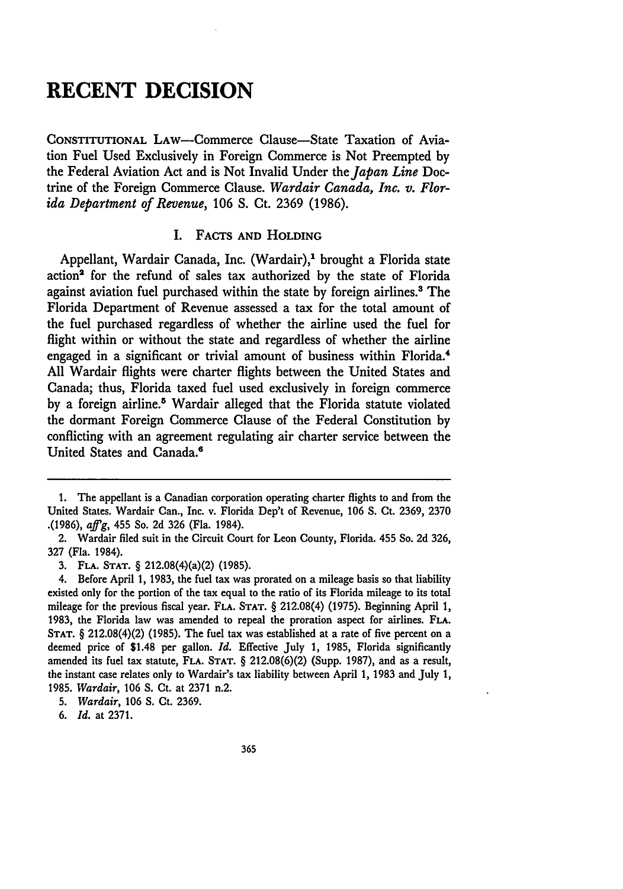## **RECENT DECISION**

CONSTITUTIONAL LAW-Commerce Clause-State Taxation of Aviation Fuel Used Exclusively in Foreign Commerce is Not Preempted by the Federal Aviation Act and is Not Invalid Under the *Japan Line* Doctrine of the Foreign Commerce Clause. *Wardair Canada, Inc. v. Florida Department of Revenue,* 106 S. Ct. 2369 (1986).

### I. **FACTS AND** HOLDING

Appellant, Wardair Canada, Inc. (Wardair),<sup>1</sup> brought a Florida state action<sup>2</sup> for the refund of sales tax authorized by the state of Florida against aviation fuel purchased within the state by foreign airlines.<sup>3</sup> The Florida Department of Revenue assessed a tax for the total amount of the fuel purchased regardless of whether the airline used the fuel for flight within or without the state and regardless of whether the airline engaged in a significant or trivial amount of business within Florida.4 All Wardair flights were charter flights between the United States and Canada; thus, Florida taxed fuel used exclusively in foreign commerce by a foreign airline.5 Wardair alleged that the Florida statute violated the dormant Foreign Commerce Clause of the Federal Constitution by conflicting with an agreement regulating air charter service between the United States and Canada.'

**<sup>1.</sup>** The appellant is a Canadian corporation operating charter flights to and from the United States. Wardair Can., Inc. v. Florida Dep't of Revenue, 106 **S.** Ct. 2369, 2370 .(1986), afg, 455 So. **2d 326** (Fla. 1984).

<sup>2.</sup> Wardair filed suit in the Circuit Court for Leon County, Florida. 455 So. 2d 326, **327** (Fla. 1984).

<sup>3.</sup> FLA. STAT. § 212.08(4)(a)(2) (1985).

<sup>4.</sup> Before April 1, **1983,** the fuel tax was prorated on a mileage basis so that liability existed only for the portion of the tax equal to the ratio of its Florida mileage to its total mileage for the previous fiscal year. **FLA. STAT.** § 212.08(4) (1975). Beginning April 1, 1983, the Florida law was amended to repeal the proration aspect for airlines. **FLA. STAT.** § 212.08(4)(2) **(1985).** The fuel tax was established at a rate of five percent on a deemed price of \$1.48 per gallon. *Id.* Effective July 1, 1985, Florida significantly amended its fuel tax statute, **FLA. STAT.** § 212.08(6)(2) (Supp. 1987), and as a result, the instant case relates only to Wardair's tax liability between April 1, 1983 and July 1, **1985.** *Wardair,* 106 **S.** Ct. at 2371 n.2.

**<sup>5.</sup>** *Wardair,* 106 **S.** Ct. **2369.**

<sup>6.</sup> *Id.* at **2371.**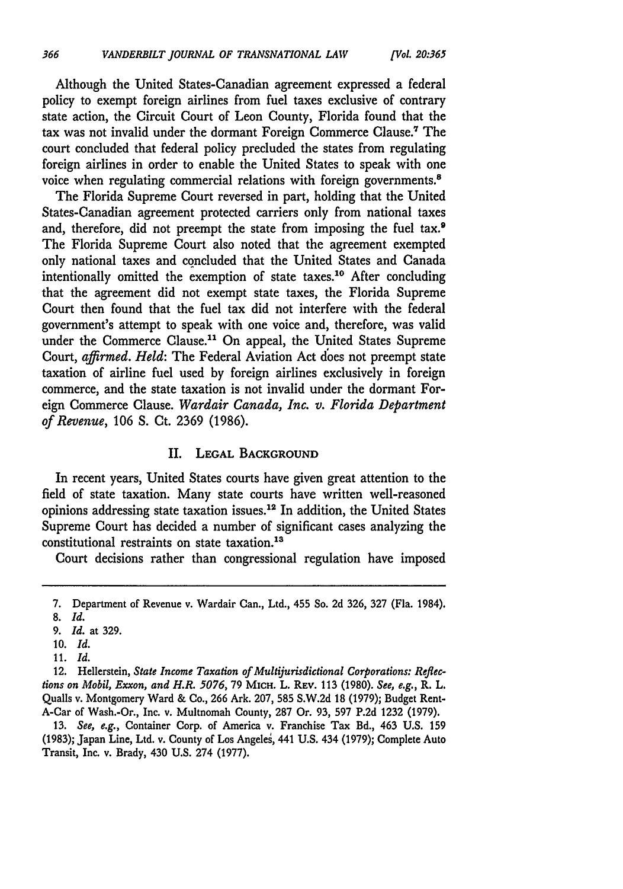Although the United States-Canadian agreement expressed a federal policy to exempt foreign airlines from fuel taxes exclusive of contrary state action, the Circuit Court of Leon County, Florida found that the tax was not invalid under the dormant Foreign Commerce Clause.<sup>7</sup> The court concluded that federal policy precluded the states from regulating foreign airlines in order to enable the United States to speak with one voice when regulating commercial relations with foreign governments.<sup>8</sup>

The Florida Supreme Court reversed in part, holding that the United States-Canadian agreement protected carriers only from national taxes and, therefore, did not preempt the state from imposing the fuel tax.<sup>9</sup> The Florida Supreme Court also noted that the agreement exempted only national taxes and concluded that the United States and Canada intentionally omitted the exemption of state taxes.10 After concluding that the agreement did not exempt state taxes, the Florida Supreme Court then found that the fuel tax did not interfere with the federal government's attempt to speak with one voice and, therefore, was valid under the Commerce Clause.<sup>11</sup> On appeal, the United States Supreme Court, *affirmed. Held:* The Federal Aviation Act does not preempt state taxation of airline fuel used by foreign airlines exclusively in foreign commerce, and the state taxation is not invalid under the dormant Foreign Commerce Clause. *Wardair Canada, Inc. v. Florida Department of Revenue,* 106 **S.** Ct. 2369 (1986).

#### II. **LEGAL BACKGROUND**

In recent years, United States courts have given great attention to the field of state taxation. Many state courts have written well-reasoned opinions addressing state taxation issues.<sup>12</sup> In addition, the United States Supreme Court has decided a number of significant cases analyzing the constitutional restraints on state taxation.<sup>13</sup>

Court decisions rather than congressional regulation have imposed

- **10.** *Id.*
- 11. *Id.*

12. Hellerstein, *State Income Taxation of Multijurisdictional Corporations: Reflections on Mobil, Exxon, and H.R. 5076,* 79 MiCH. L. REv. 113 (1980). *See, e.g.,* R. L. Quails v. Montgomery Ward & Co., 266 Ark. 207, **585** S.W.2d 18 (1979); Budget Rent-A-Car of Wash.-Or., Inc. v. Multnomah County, 287 Or. 93, 597 P.2d 1232 (1979).

**13.** *See, e.g.,* Container Corp. of America v. Franchise Tax Bd., 463 **U.S. 159** (1983); Japan Line, Ltd. v. County of Los Angeles, 441 U.S. 434 (1979); Complete Auto Transit, Inc. v. Brady, 430 U.S. 274 (1977).

<sup>7.</sup> Department of Revenue v. Wardair Can., Ltd., 455 So. 2d 326, 327 (Fla. 1984).

**<sup>8.</sup>** *Id.*

<sup>9.</sup> *Id.* at 329.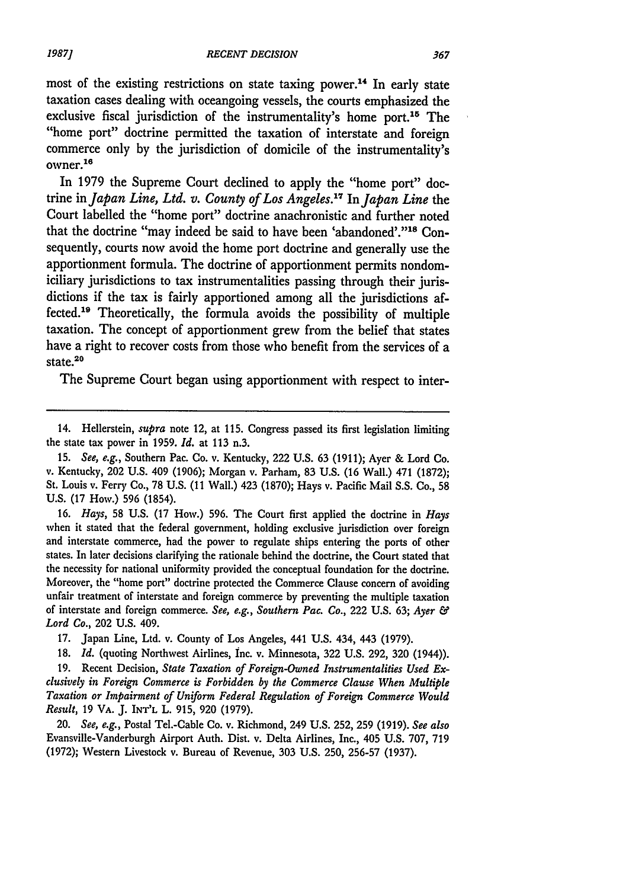most of the existing restrictions on state taxing power.<sup>14</sup> In early state taxation cases dealing with oceangoing vessels, the courts emphasized the exclusive fiscal jurisdiction of the instrumentality's home port.<sup>15</sup> The "home port" doctrine permitted the taxation of interstate and foreign commerce only by the jurisdiction of domicile of the instrumentality's owner.<sup>16</sup>

In **1979** the Supreme Court declined to apply the "home port" doctrine in *Japan Line, Ltd. v. County of Los Angeles." In Japan Line* the Court labelled the "home port" doctrine anachronistic and further noted that the doctrine "may indeed be said to have been 'abandoned'."<sup>18</sup> Consequently, courts now avoid the home port doctrine and generally use the apportionment formula. The doctrine of apportionment permits nondomiciliary jurisdictions to tax instrumentalities passing through their jurisdictions if the tax is fairly apportioned among all the jurisdictions affected.19 Theoretically, the formula avoids the possibility of multiple taxation. The concept of apportionment grew from the belief that states have a right to recover costs from those who benefit from the services of a state.<sup>20</sup>

The Supreme Court began using apportionment with respect to inter-

14. Hellerstein, *supra* note 12, at 115. Congress passed its first legislation limiting the state tax power in **1959.** *Id.* at 113 n.3.

15. *See, e.g.,* Southern Pac. Co. v. Kentucky, 222 U.S. 63 (1911); Ayer & Lord Co. v. Kentucky, 202 U.S. 409 **(1906);** Morgan v. Parham, 83 U.S. **(16** Wall.) 471 (1872); St. Louis v. Ferry Co., 78 U.S. (11 Wall.) 423 (1870); Hays v. Pacific Mail S.S. Co., 58 U.S. **(17** How.) **596** (1854).

**16.** *Hays,* **58 U.S. (17** How.) **596.** The Court first applied the doctrine in *Hays* when it stated that the federal government, holding exclusive jurisdiction over foreign and interstate commerce, had the power to regulate ships entering the ports of other states. In later decisions clarifying the rationale behind the doctrine, the Court stated that the necessity for national uniformity provided the conceptual foundation for the doctrine. Moreover, the "home port" doctrine protected the Commerce Clause concern of avoiding unfair treatment of interstate and foreign commerce **by** preventing the multiple taxation of interstate and foreign commerce. *See, e.g., Southern Pac. Co.,* 222 **U.S.** 63; *Ayer & Lord Co.,* 202 **U.S.** 409.

**17.** Japan Line, Ltd. v. County of Los Angeles, 441 **U.S.** 434, 443 **(1979).**

**18.** *Id.* (quoting Northwest Airlines, Inc. v. Minnesota, **322 U.S. 292, 320** (1944)).

**19.** Recent Decision, *State Taxation of Foreign-Owned Instrumentalities Used Exclusively in Foreign Commerce is Forbidden by the Commerce Clause When Multiple Taxation or Impairment of Uniform Federal Regulation of Foreign Commerce Would Result,* **19 VA. J. INT'L** L. **915, 920 (1979).**

20. *See, e.g.,* Postal Tel.-Cable Co. v. Richmond, 249 **U.S. 252, 259 (1919).** *See also* Evansville-Vanderburgh Airport Auth. Dist. v. Delta Airlines, Inc., 405 **U.S. 707, 719 (1972);** Western Livestock v. Bureau of Revenue, **303 U.S. 250, 256-57 (1937).**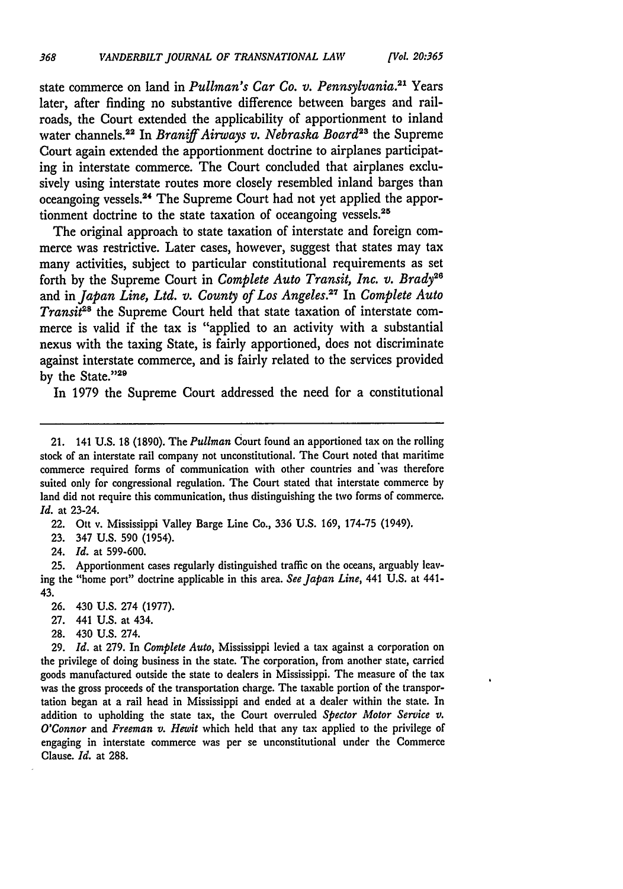state commerce on land in *Pullman's Car Co. v. Pennsylvania.21* Years later, after finding no substantive difference between barges and railroads, the Court extended the applicability of apportionment to inland water channels.22 In *Braniff Airways v. Nebraska Board23* the Supreme Court again extended the apportionment doctrine to airplanes participating in interstate commerce. The Court concluded that airplanes exclusively using interstate routes more closely resembled inland barges than oceangoing vessels.24 The Supreme Court had not yet applied the apportionment doctrine to the state taxation of oceangoing vessels.<sup>25</sup>

The original approach to state taxation of interstate and foreign commerce was restrictive. Later cases, however, suggest that states may tax many activities, subject to particular constitutional requirements as set forth by the Supreme Court in *Complete Auto Transit, Inc. v. Brady26* and in *Japan Line, Ltd. v. County of Los Angeles.27* In *Complete Auto* Transit<sup>28</sup> the Supreme Court held that state taxation of interstate commerce is valid if the tax is "applied to an activity with a substantial nexus with the taxing State, is fairly apportioned, does not discriminate against interstate commerce, and is fairly related to the services provided by the State."29

In 1979 the Supreme Court addressed the need for a constitutional

- 23. 347 U.S. 590 (1954).
- 24. *Id.* at 599-600.

25. Apportionment cases regularly distinguished traffic on the oceans, arguably leaving the "home port" doctrine applicable in this area. *See Japan Line,* 441 U.S. at 441- 43.

- 26. 430 U.S. 274 (1977).
- 27. 441 U.S. at 434.
- 28. 430 U.S. 274.

29. *Id.* at 279. In *Complete Auto,* Mississippi levied a tax against a corporation on the privilege of doing business in the state. The corporation, from another state, carried goods manufactured outside the state to dealers in Mississippi. The measure of the tax was the gross proceeds of the transportation charge. The taxable portion of the transportation began at a rail head in Mississippi and ended at a dealer within the state. In addition to upholding the state tax, the Court overruled *Spector Motor Service v. O'Connor* and *Freeman v. Hewit* which held that any tax applied to the privilege of engaging in interstate commerce was per se unconstitutional under the Commerce Clause. *Id.* at 288.

<sup>21. 141</sup> U.S. 18 (1890). The *Pullman* Court found an apportioned tax on the rolling stock of an interstate rail company not unconstitutional. The Court noted that maritime commerce required forms of communication with other countries and 'was therefore suited only for congressional regulation. The Court stated that interstate commerce by land did not require this communication, thus distinguishing the two forms of commerce. *Id.* at 23-24.

<sup>22.</sup> Ott v. Mississippi Valley Barge Line Co., 336 U.S. 169, 174-75 (1949).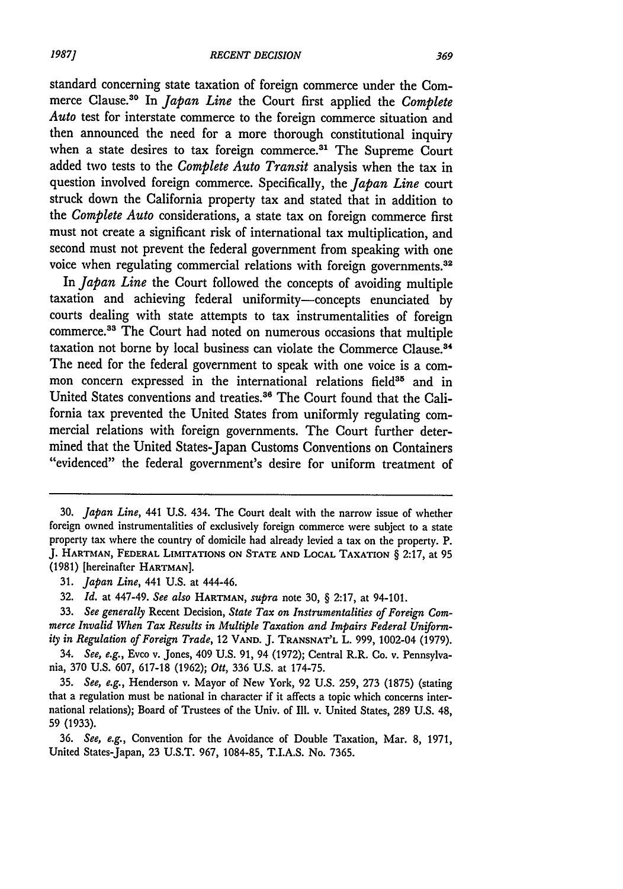standard concerning state taxation of foreign commerce under the Commerce Clause.30 In *Japan Line* the Court first applied the *Complete Auto* test for interstate commerce to the foreign commerce situation and then announced the need for a more thorough constitutional inquiry when a state desires to tax foreign commerce.<sup>31</sup> The Supreme Court added two tests to the *Complete Auto Transit* analysis when the tax in question involved foreign commerce. Specifically, the *Japan Line* court struck down the California property tax and stated that in addition to the *Complete Auto* considerations, a state tax on foreign commerce first must not create a significant risk of international tax multiplication, and second must not prevent the federal government from speaking with one voice when regulating commercial relations with foreign governments.<sup>32</sup>

In *Japan Line* the Court followed the concepts of avoiding multiple taxation and achieving federal uniformity-concepts enunciated **by** courts dealing with state attempts to tax instrumentalities of foreign commerce.<sup>33</sup> The Court had noted on numerous occasions that multiple taxation not borne by local business can violate the Commerce Clause.<sup>34</sup> The need for the federal government to speak with one voice is a common concern expressed in the international relations field<sup>35</sup> and in United States conventions and treaties.<sup>36</sup> The Court found that the California tax prevented the United States from uniformly regulating commercial relations with foreign governments. The Court further determined that the United States-Japan Customs Conventions on Containers "evidenced" the federal government's desire for uniform treatment of

<sup>30.</sup> *Japan Line,* 441 U.S. 434. The Court dealt with the narrow issue of whether foreign owned instrumentalities of exclusively foreign commerce were subject to a state property tax where the country of domicile had already levied a tax on the property. P. **J.** HARTMAN, **FEDERAL LIMITATIONS ON STATE AND LOCAL TAXATION** § **2:17,** at **95 (1981) [hereinafter HARTMAN].**

**<sup>31.</sup>** *Japan Line,* 441 **U.S. at** 444-46.

**<sup>32.</sup>** *Id.* at 447-49. *See also* **HARTMAN,** *supra* note **30,** § **2:17,** at 94-101.

**<sup>33.</sup>** *See generally* **Recent** Decision, *State Tax on Instrumentalities of Foreign Commerce Invalid When Tax Results in Multiple Taxation and Impairs Federal Uniformity in Regulation of Foreign Trade,* **12 VAND. J. TRANSNAT'L L. 999,** 1002-04 **(1979).**

<sup>34.</sup> *See, e.g.,* Evco v. Jones, 409 **U.S. 91,** 94 **(1972);** Central R.R. Co. v. Pennsylvania, **370 U.S. 607, 617-18 (1962);** *Ott,* **336 U.S.** at **174-75.**

**<sup>35.</sup>** *See, e.g.,* Henderson v. Mayor of New York, **92 U.S. 259, 273 (1875)** (stating that a regulation must be national in character if it affects a topic which concerns international relations); Board of Trustees of the Univ. of **Ill.** v. United States, **289 U.S.** 48, 59 (1933).

<sup>36.</sup> *See, e.g.,* Convention for the Avoidance of Double Taxation, Mar. 8, 1971, United States-Japan, 23 U.S.T. 967, 1084-85, T.I.A.S. No. 7365.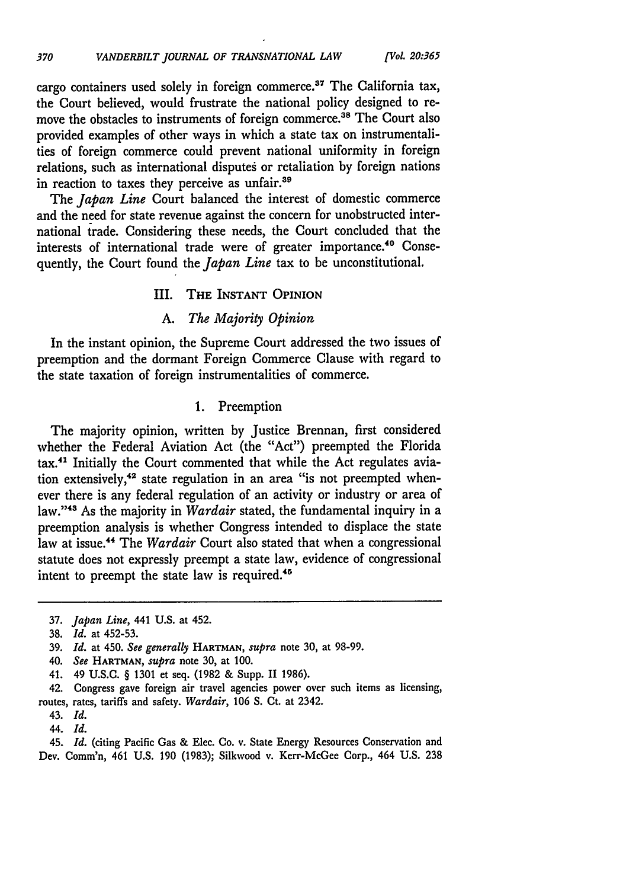cargo containers used solely in foreign commerce.<sup>37</sup> The California tax, the Court believed, would frustrate the national policy designed to remove the obstacles to instruments of foreign commerce.<sup>38</sup> The Court also provided examples of other ways in which a state tax on instrumentalities of foreign commerce could prevent national uniformity in foreign relations, such as international disputes or retaliation by foreign nations in reaction to taxes they perceive as unfair.39

The *Japan Line* Court balanced the interest of domestic commerce and the need for state revenue against the concern for unobstructed international trade. Considering these needs, the Court concluded that the interests of international trade were of greater importance.40 Consequently, the Court found the *Japan Line* tax to be unconstitutional.

III. THE INSTANT OPINION

#### *A. The Majority Opinion*

In the instant opinion, the Supreme Court addressed the two issues of preemption and the dormant Foreign Commerce Clause with regard to the state taxation of foreign instrumentalities of commerce.

#### 1. Preemption

The majority opinion, written by Justice Brennan, first considered whether the Federal Aviation Act (the "Act") preempted the Florida tax.41 Initially the Court commented that while the Act regulates aviation extensively,<sup>42</sup> state regulation in an area "is not preempted whenever there is any federal regulation of an activity or industry or area of law."'43 As the majority in *Wardair* stated, the fundamental inquiry in a preemption analysis is whether Congress intended to displace the state law at issue.<sup>44</sup> The *Wardair* Court also stated that when a congressional statute does not expressly preempt a state law, evidence of congressional intent to preempt the state law is required.<sup>45</sup>

45. *Id.* (citing Pacific Gas & Elec. Co. v. State Energy Resources Conservation and Dev. Comm'n, 461 U.S. 190 (1983); Silkwood v. Kerr-McGee Corp., 464 **U.S.** 238

<sup>37.</sup> *Japan Line,* 441 **U.S.** at 452.

<sup>38.</sup> *Id.* at 452-53.

<sup>39.</sup> *Id.* at 450. *See generally* **HARTMAN,** *supra* note 30, at 98-99.

<sup>40.</sup> *See* **HARTMAN,** *supra* note 30, at 100.

<sup>41. 49</sup> **U.S.C.** § 1301 et seq. (1982 & Supp. **11** 1986).

<sup>42.</sup> Congress gave foreign air travel agencies power over such items as licensing, routes, rates, tariffs and safety. *Wardair,* 106 **S.** Ct. at 2342.

<sup>43.</sup> *Id.*

<sup>44.</sup> *Id.*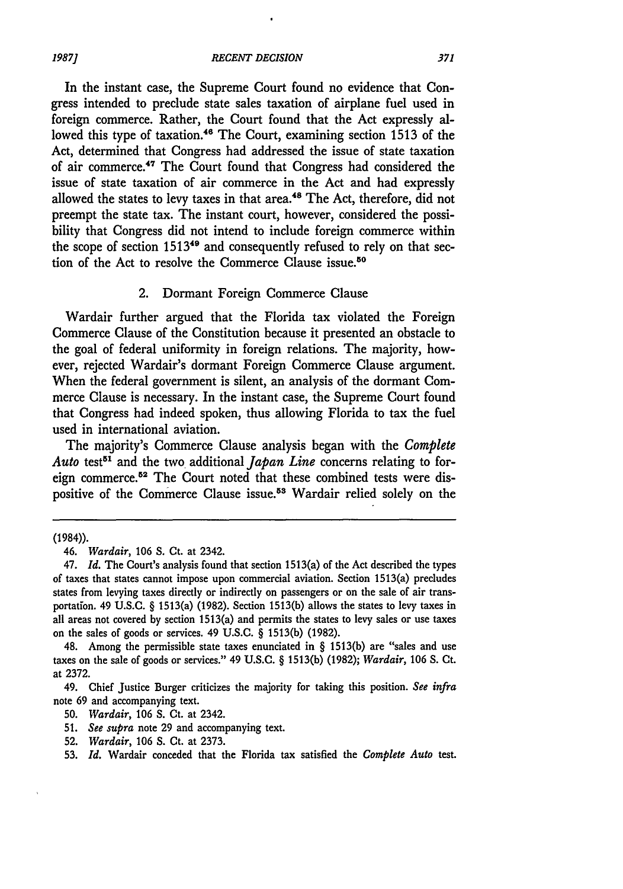In the instant case, the Supreme Court found no evidence that Congress intended to preclude state sales taxation of airplane fuel used in foreign commerce. Rather, the Court found that the Act expressly allowed this type of taxation.<sup>46</sup> The Court, examining section 1513 of the Act, determined that Congress had addressed the issue of state taxation of air commerce.<sup>47</sup> The Court found that Congress had considered the issue of state taxation of air commerce in the Act and had expressly allowed the states to levy taxes in that area.<sup>48</sup> The Act, therefore, did not preempt the state tax. The instant court, however, considered the possibility that Congress did not intend to include foreign commerce within the scope of section 1513<sup>49</sup> and consequently refused to rely on that section of the Act to resolve the Commerce Clause issue.<sup>50</sup>

#### 2. Dormant Foreign Commerce Clause

Wardair further argued that the Florida tax violated the Foreign Commerce Clause of the Constitution because it presented an obstacle to the goal of federal uniformity in foreign relations. The majority, however, rejected Wardair's dormant Foreign Commerce Clause argument. When the federal government is silent, an analysis of the dormant Commerce Clause is necessary. In the instant case, the Supreme Court found that Congress had indeed spoken, thus allowing Florida to tax the fuel used in international aviation.

The majority's Commerce Clause analysis began with the *Complete* Auto test<sup>51</sup> and the two additional *Japan Line* concerns relating to foreign commerce.<sup>52</sup> The Court noted that these combined tests were dispositive of the Commerce Clause issue.<sup>53</sup> Wardair relied solely on the

48. Among the permissible state taxes enunciated in § 1513(b) are "sales and use taxes on the sale of goods or services." 49 U.S.C. § 1513(b) (1982); *Wardair,* 106 S. Ct. at 2372.

49. Chief Justice Burger criticizes the majority for taking this position. *See infra* note 69 and accompanying text.

- 50. *Wardair,* 106 **S.** Ct. at 2342.
- 51. *See supra* note 29 and accompanying text.
- 52. *Wardair,* 106 **S.** Ct. at 2373.

<sup>(1984)).</sup>

<sup>46.</sup> *Wardair,* 106 S. Ct. at 2342.

<sup>47.</sup> *Id.* The Court's analysis found that section 1513(a) of the Act described the types of taxes that states cannot impose upon commercial aviation. Section 1513(a) precludes states from levying taxes directly or indirectly on passengers or on the sale of air transportation. 49 U.S.C. § 1513(a) (1982). Section 1513(b) allows the states to levy taxes in all areas not covered by section 1513(a) and permits the states to levy sales or use taxes on the sales of goods or services. 49 U.S.C. § 1513(b) (1982).

<sup>53.</sup> *Id.* Wardair conceded that the Florida tax satisfied the *Complete Auto* test.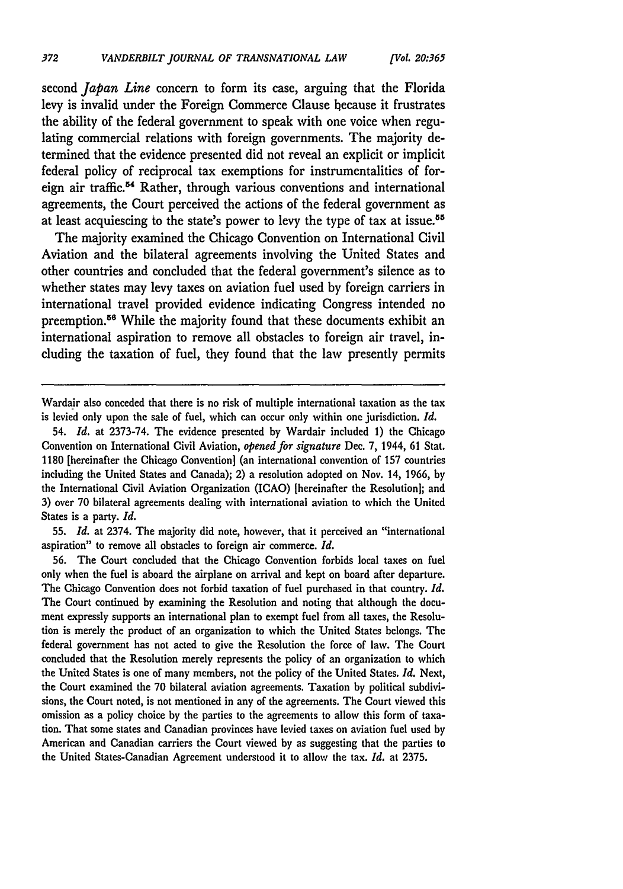second *Japan Line* concern to form its case, arguing that the Florida levy is invalid under the Foreign Commerce Clause because it frustrates the ability of the federal government to speak with one voice when regulating commercial relations with foreign governments. The majority determined that the evidence presented did not reveal an explicit or implicit federal policy of reciprocal tax exemptions for instrumentalities of foreign air traffic.<sup>54</sup> Rather, through various conventions and international agreements, the Court perceived the actions of the federal government as at least acquiescing to the state's power to levy the type of tax at issue.<sup>85</sup>

The majority examined the Chicago Convention on International Civil Aviation and the bilateral agreements involving the United States and other countries and concluded that the federal government's silence as to whether states may levy taxes on aviation fuel used **by** foreign carriers in international travel provided evidence indicating Congress intended no preemption.<sup>56</sup> While the majority found that these documents exhibit an international aspiration to remove all obstacles to foreign air travel, including the taxation of fuel, they found that the law presently permits

Wardair also conceded that there is no risk of multiple international taxation as the tax is levied only upon the sale of fuel, which can occur only within one jurisdiction. *Id.*

55. *Id.* at 2374. The majority did note, however, that it perceived an "international aspiration" to remove all obstacles to foreign air commerce. *Id.*

**56.** The Court concluded that the Chicago Convention forbids local taxes on fuel only when the fuel is aboard the airplane on arrival and kept on board after departure. The Chicago Convention does not forbid taxation of fuel purchased in that country. *Id.* The Court continued by examining the Resolution and noting that although the document expressly supports an international plan to exempt fuel from all taxes, the Resolution is merely the product of an organization to which the United States belongs. The federal government has not acted to give the Resolution the force of law. The Court concluded that the Resolution merely represents the policy of an organization to which the United States is one of many members, not the policy of the United States. *Id.* Next, the Court examined the 70 bilateral aviation agreements. Taxation by political subdivisions, the Court noted, is not mentioned in any of the agreements. The Court viewed this omission as a policy choice by the parties to the agreements to allow this form of taxation. That some states and Canadian provinces have levied taxes on aviation fuel used by American and Canadian carriers the Court viewed by as suggesting that the parties to the United States-Canadian Agreement understood it to allow the tax. *Id.* at 2375.

<sup>54.</sup> *Id.* at 2373-74. The evidence presented by Wardair included **1)** the Chicago Convention on International Civil Aviation, *opened for signature* Dec. 7, 1944, 61 Stat. 1180 [hereinafter the Chicago Convention] (an international convention of **157** countries including the United States and Canada); 2) a resolution adopted on Nov. 14, **1966, by** the International Civil Aviation Organization (ICAO) [hereinafter the Resolution]; and 3) over 70 bilateral agreements dealing with international aviation to which the United States is a party. *Id.*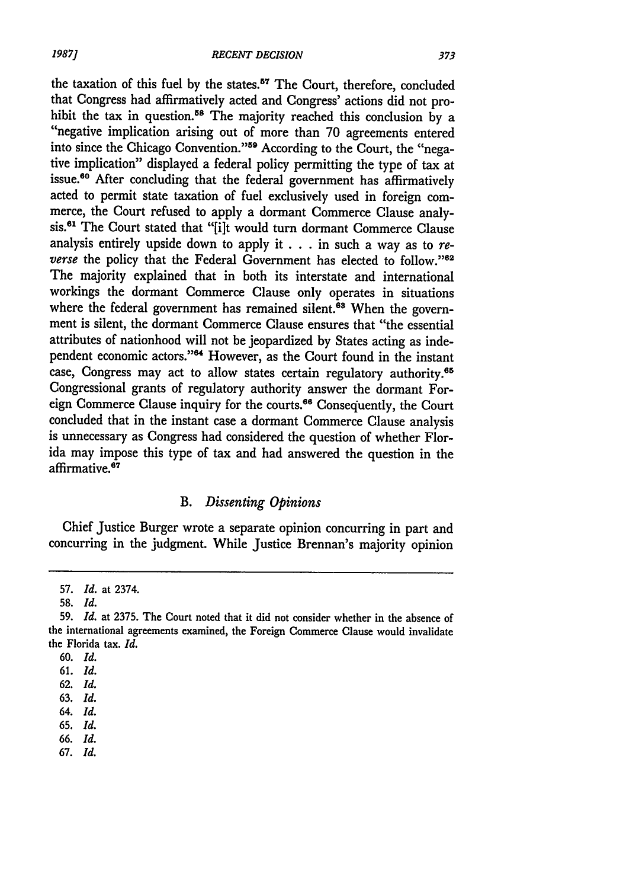the taxation of this fuel by the states.<sup>57</sup> The Court, therefore, concluded that Congress had affirmatively acted and Congress' actions did not prohibit the tax in question.<sup>58</sup> The majority reached this conclusion by a " negative implication arising out of more than 70 agreements entered into since the Chicago Convention."<sup>59</sup> According to the Court, the "negative implication" displayed a federal policy permitting the type of tax at issue.<sup>60</sup> After concluding that the federal government has affirmatively acted to permit state taxation of fuel exclusively used in foreign commerce, the Court refused to apply a dormant Commerce Clause analysis.<sup>61</sup> The Court stated that "[i]t would turn dormant Commerce Clause analysis entirely upside down to apply it **. .** .in such a way as to *reverse* the policy that the Federal Government has elected to follow."<sup>82</sup> The majority explained that in both its interstate and international workings the dormant Commerce Clause only operates in situations where the federal government has remained silent.<sup>63</sup> When the government is silent, the dormant Commerce Clause ensures that "the essential attributes of nationhood will not be jeopardized by States acting as independent economic actors."<sup>64</sup> However, as the Court found in the instant case, Congress may act to allow states certain regulatory authority.<sup>65</sup> Congressional grants of regulatory authority answer the dormant Foreign Commerce Clause inquiry for the courts.<sup>66</sup> Consequently, the Court concluded that in the instant case a dormant Commerce Clause analysis is unnecessary as Congress had considered the question of whether Florida may impose this type of tax and had answered the question in the affirmative.<sup>67</sup>

#### *B. Dissenting Opinions*

Chief Justice Burger wrote a separate opinion concurring in part and concurring in the judgment. While Justice Brennan's majority opinion

- 66. Id.
- 67. Id.

**<sup>57.</sup>** *Id.* at 2374.

**<sup>58.</sup>** *Id.*

**<sup>59.</sup>** *Id.* at 2375. The Court noted that it did not consider whether in the absence of the international agreements examined, the Foreign Commerce Clause would invalidate the Florida tax. *Id.*

**<sup>60.</sup>** *Id.*

<sup>61.</sup> Id.

<sup>62.</sup> Id.

<sup>63.</sup> Id.

<sup>64.</sup> Id.

**<sup>65.</sup>** Id.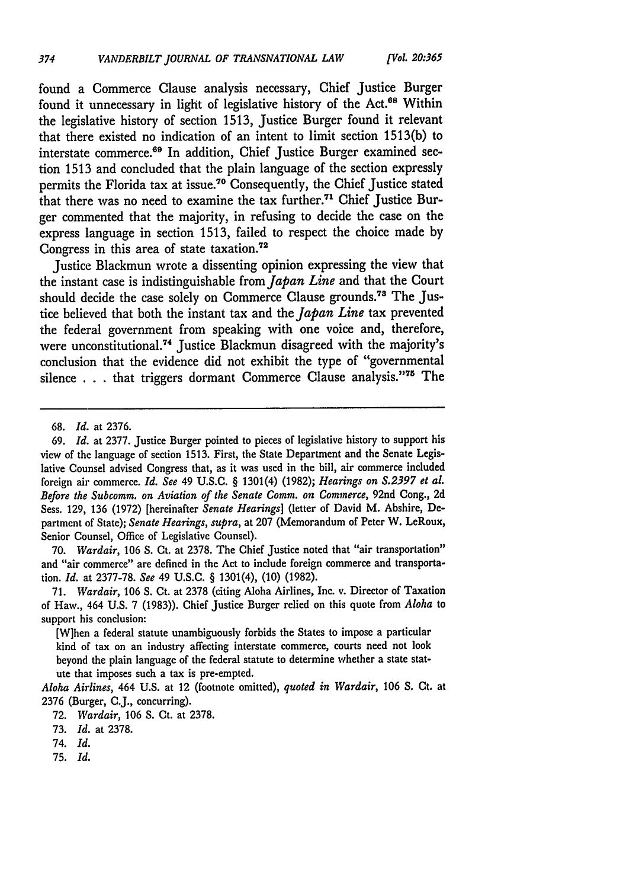found a Commerce Clause analysis necessary, Chief Justice Burger found it unnecessary in light of legislative history of the Act.<sup>68</sup> Within the legislative history of section 1513, Justice Burger found it relevant that there existed no indication of an intent to limit section 1513(b) to interstate commerce.<sup>69</sup> In addition, Chief Justice Burger examined section 1513 and concluded that the plain language of the section expressly permits the Florida tax at issue.70 Consequently, the Chief Justice stated that there was no need to examine the tax further.<sup>71</sup> Chief Justice Burger commented that the majority, in refusing to decide the case on the express language in section 1513, failed to respect the choice made by Congress in this area of state taxation.<sup>72</sup>

Justice Blackmun wrote a dissenting opinion expressing the view that the instant case is indistinguishable from *Japan Line* and that the Court should decide the case solely on Commerce Clause grounds.73 The Justice believed that both the instant tax and the *Japan Line* tax prevented the federal government from speaking with one voice and, therefore, were unconstitutional.74 Justice Blackmun disagreed with the majority's conclusion that the evidence did not exhibit the type of "governmental silence . . . that triggers dormant Commerce Clause analysis."75 The

70. *Wardair,* 106 **S.** Ct. at 2378. The Chief Justice noted that "air transportation" and "air commerce" are defined in the Act to include foreign commerce and transportation. *Id.* at 2377-78. *See* 49 U.S.C. § 1301(4), (10) (1982).

[W]hen a federal statute unambiguously forbids the States to impose a particular kind of tax on an industry affecting interstate commerce, courts need not look beyond the plain language of the federal statute to determine whether a state statute that imposes such a tax is pre-empted.

*Aloha Airlines,* 464 U.S. at 12 (footnote omitted), *quoted in Wardair,* 106 **S.** Ct. at 2376 (Burger, C.J., concurring).

72. *Wardair,* 106 **S.** Ct. at 2378.

73. *Id.* at 2378.

74. *Id.*

75. *Id.*

<sup>68.</sup> *Id.* at 2376.

<sup>69.</sup> *Id.* at 2377. Justice Burger pointed to pieces of legislative history to support his view of the language of section 1513. First, the State Department and the Senate Legislative Counsel advised Congress that, as it was used in the bill, air commerce included foreign air commerce. *Id. See* 49 U.S.C. § 1301(4) (1982); *Hearings on S.2397 et al. Before the Subcomm. on Aviation of the Senate Comm. on Commerce,* 92nd Cong., 2d Sess. 129, 136 (1972) [hereinafter *Senate Hearings]* (letter of David M. Abshire, Department of State); *Senate Hearings, supra,* at 207 (Memorandum of Peter W. LeRoux, Senior Counsel, Office of Legislative Counsel).

<sup>71.</sup> *Wardair,* 106 **S.** Ct. at 2378 (citing Aloha Airlines, Inc. v. Director of Taxation of Haw., 464 U.S. 7 (1983)). Chief Justice Burger relied on this quote from *Aloha* to support his conclusion: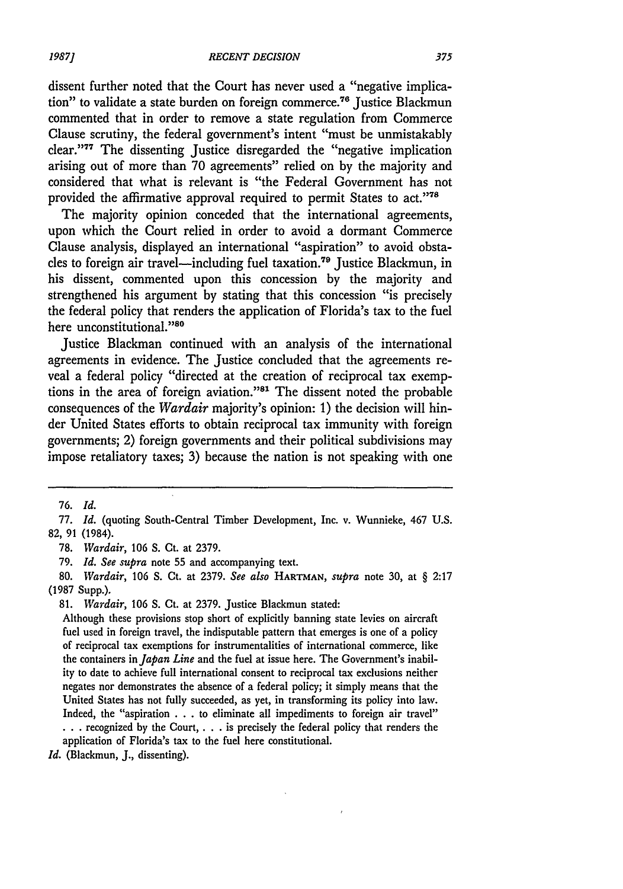dissent further noted that the Court has never used a "negative implication" to validate a state burden on foreign commerce.<sup>76</sup> Justice Blackmun commented that in order to remove a state regulation from Commerce Clause scrutiny, the federal government's intent "must be unmistakably clear."<sup>77</sup> The dissenting Justice disregarded the "negative implication arising out of more than **70** agreements" relied on **by** the majority and considered that what is relevant is "the Federal Government has not provided the affirmative approval required to permit States to act."78

The majority opinion conceded that the international agreements, upon which the Court relied in order to avoid a dormant Commerce Clause analysis, displayed an international "aspiration" to avoid obstacles to foreign air travel-including fuel taxation.<sup>79</sup> Justice Blackmun, in his dissent, commented upon this concession by the majority and strengthened his argument by stating that this concession "is precisely the federal policy that renders the application of Florida's tax to the fuel here unconstitutional."<sup>80</sup>

Justice Blackman continued with an analysis of the international agreements in evidence. The Justice concluded that the agreements reveal a federal policy "directed at the creation of reciprocal tax exemptions in the area of foreign aviation."<sup>81</sup> The dissent noted the probable consequences of the *Wardair* majority's opinion: 1) the decision will hinder United States efforts to obtain reciprocal tax immunity with foreign governments; 2) foreign governments and their political subdivisions may impose retaliatory taxes; 3) because the nation is not speaking with one

81. *Wardair,* 106 S. Ct. at 2379. Justice Blackmun stated:

Although these provisions stop short of explicitly banning state levies on aircraft fuel used in foreign travel, the indisputable pattern that emerges is one of a policy of reciprocal tax exemptions for instrumentalities of international commerce, like the containers in *Japan Line* and the fuel at issue here. The Government's inability to date to achieve full international consent to reciprocal tax exclusions neither negates nor demonstrates the absence of a federal policy; it simply means that the United States has not fully succeeded, as yet, in transforming its policy into law. Indeed, the "aspiration . . . to eliminate all impediments to foreign air travel" **. . .** recognized by the Court, **. .** . is precisely the federal policy that renders the application of Florida's tax to the fuel here constitutional.

*Id.* (Blackmun, J., dissenting).

<sup>76.</sup> *Id.*

<sup>77.</sup> *Id.* (quoting South-Central Timber Development, Inc. v. Wunnieke, 467 U.S. 82, 91 (1984).

<sup>78.</sup> *Wardair,* 106 **S.** Ct. at 2379.

<sup>79.</sup> *Id. See supra* note 55 and accompanying text.

<sup>80.</sup> *Wardair,* 106 **S.** Ct. at 2379. *See also* **HARTMAN,** *supra* note 30, at § 2:17 (1987 Supp.).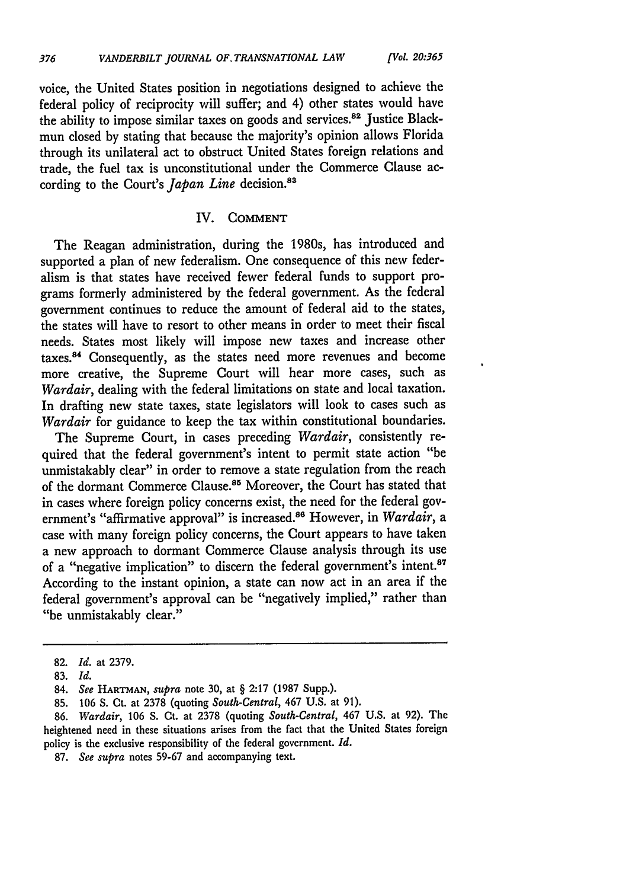voice, the United States position in negotiations designed to achieve the federal policy of reciprocity will suffer; and 4) other states would have the ability to impose similar taxes on goods and services.<sup>82</sup> Justice Blackmun closed by stating that because the majority's opinion allows Florida through its unilateral act to obstruct United States foreign relations and trade, the fuel tax is unconstitutional under the Commerce Clause according to the Court's *Japan Line* decision.<sup>83</sup>

#### IV. **COMMENT**

The Reagan administration, during the 1980s, has introduced and supported a plan of new federalism. One consequence of this new federalism is that states have received fewer federal funds to support programs formerly administered by the federal government. As the federal government continues to reduce the amount of federal aid to the states, the states will have to resort to other means in order to meet their fiscal needs. States most likely will impose new taxes and increase other taxes.<sup>84</sup> Consequently, as the states need more revenues and become more creative, the Supreme Court will hear more cases, such as *Wardair,* dealing with the federal limitations on state and local taxation. In drafting new state taxes, state legislators will look to cases such as *Wardair* for guidance to keep the tax within constitutional boundaries.

The Supreme Court, in cases preceding *Wardair,* consistently required that the federal government's intent to permit state action "be unmistakably clear" in order to remove a state regulation from the reach of the dormant Commerce Clause.85 Moreover, the Court has stated that in cases where foreign policy concerns exist, the need for the federal government's "affirmative approval" is increased.<sup>86</sup> However, in *Wardair*, a case with many foreign policy concerns, the Court appears to have taken a new approach to dormant Commerce Clause analysis through its use of a "negative implication" to discern the federal government's intent.<sup>87</sup> According to the instant opinion, a state can now act in an area if the federal government's approval can be "negatively implied," rather than "be unmistakably clear."

<sup>82.</sup> *Id.* at 2379.

**<sup>83.</sup>** *Id.*

<sup>84.</sup> *See* **HARTMAN,** *supra* note 30, at § 2:17 (1987 Supp.).

<sup>85. 106</sup> S. Ct. at 2378 (quoting *South-Central,* 467 U.S. at 91).

<sup>86.</sup> *Wardair,* 106 S. Ct. at 2378 (quoting *South-Central,* 467 U.S. at 92). The heightened need in these situations arises from the fact that the United States foreign policy is the exclusive responsibility of the federal government. *Id.*

<sup>87.</sup> *See supra* notes 59-67 and accompanying text.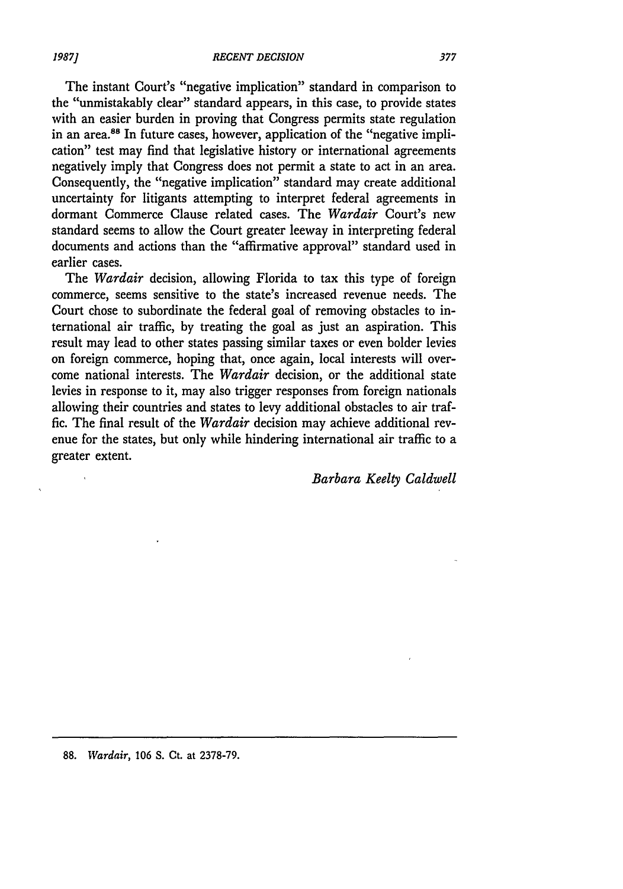The instant Court's "negative implication" standard in comparison to the "unmistakably clear" standard appears, in this case, to provide states with an easier burden in proving that Congress permits state regulation in an area.<sup>88</sup> In future cases, however, application of the "negative implication" test may find that legislative history or international agreements negatively imply that Congress does not permit a state to act in an area. Consequently, the "negative implication" standard may create additional uncertainty for litigants attempting to interpret federal agreements in dormant Commerce Clause related cases. The *Wardair* Court's new standard seems to allow the Court greater leeway in interpreting federal documents and actions than the "affirmative approval" standard used in earlier cases.

The *Wardair* decision, allowing Florida to tax this type of foreign commerce, seems sensitive to the state's increased revenue needs. The Court chose to subordinate the federal goal of removing obstacles to international air traffic, by treating the goal as just an aspiration. This result may lead to other states passing similar taxes or even bolder levies on foreign commerce, hoping that, once again, local interests will overcome national interests. The *Wardair* decision, or the additional state levies in response to it, may also trigger responses from foreign nationals allowing their countries and states to levy additional obstacles to air traffic. The final result of the *Wardair* decision may achieve additional revenue for the states, but only while hindering international air traffic to a greater extent.

*Barbara Keelty Caldwell*